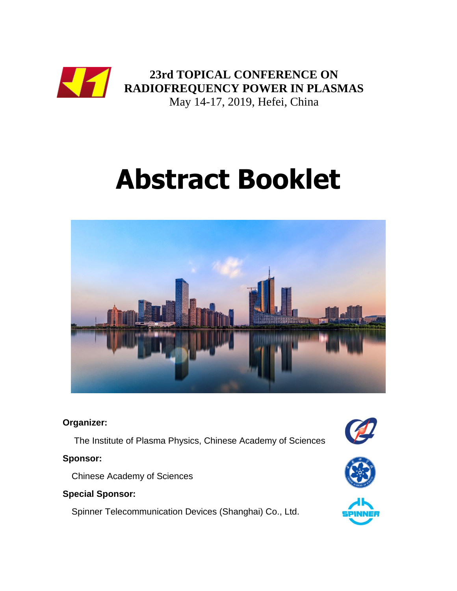

# **Abstract Booklet**



#### **Organizer:**

The Institute of Plasma Physics, Chinese Academy of Sciences

#### **Sponsor:**

Chinese Academy of Sciences

# **Special Sponsor:**

Spinner Telecommunication Devices (Shanghai) Co., Ltd.





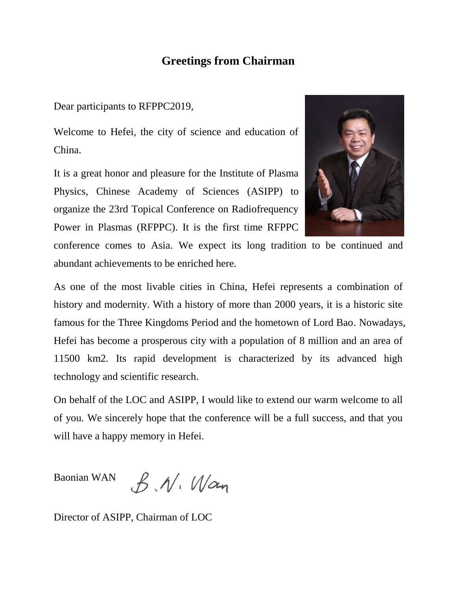# **Greetings from Chairman**

Dear participants to RFPPC2019,

Welcome to Hefei, the city of science and education of China.

It is a great honor and pleasure for the Institute of Plasma Physics, Chinese Academy of Sciences (ASIPP) to organize the 23rd Topical Conference on Radiofrequency Power in Plasmas (RFPPC). It is the first time RFPPC



conference comes to Asia. We expect its long tradition to be continued and abundant achievements to be enriched here.

As one of the most livable cities in China, Hefei represents a combination of history and modernity. With a history of more than 2000 years, it is a historic site famous for the Three Kingdoms Period and the hometown of Lord Bao. Nowadays, Hefei has become a prosperous city with a population of 8 million and an area of 11500 km2. Its rapid development is characterized by its advanced high technology and scientific research.

On behalf of the LOC and ASIPP, I would like to extend our warm welcome to all of you. We sincerely hope that the conference will be a full success, and that you will have a happy memory in Hefei.

Baonian WAN  $B.M.$  Wan

Director of ASIPP, Chairman of LOC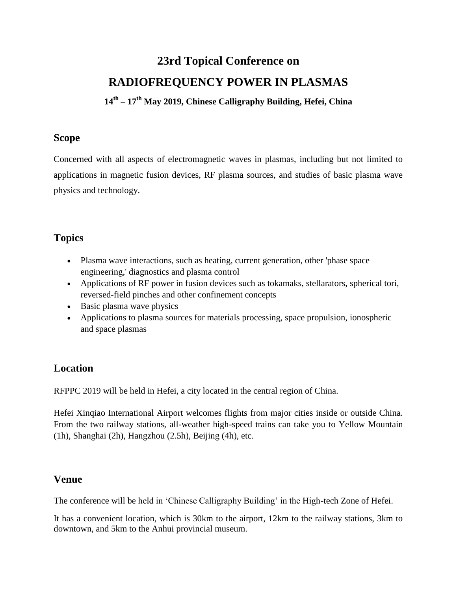# **23rd Topical Conference on RADIOFREQUENCY POWER IN PLASMAS**

**14th – 17th May 2019, Chinese Calligraphy Building, Hefei, China**

#### **Scope**

Concerned with all aspects of electromagnetic waves in plasmas, including but not limited to applications in magnetic fusion devices, RF plasma sources, and studies of basic plasma wave physics and technology.

# **Topics**

- Plasma wave interactions, such as heating, current generation, other 'phase space engineering,' diagnostics and plasma control
- Applications of RF power in fusion devices such as tokamaks, stellarators, spherical tori, reversed-field pinches and other confinement concepts
- Basic plasma wave physics
- Applications to plasma sources for materials processing, space propulsion, ionospheric and space plasmas

# **Location**

RFPPC 2019 will be held in Hefei, a city located in the central region of China.

Hefei Xinqiao International Airport welcomes flights from major cities inside or outside China. From the two railway stations, all-weather high-speed trains can take you to Yellow Mountain (1h), Shanghai (2h), Hangzhou (2.5h), Beijing (4h), etc.

# **Venue**

The conference will be held in 'Chinese Calligraphy Building' in the High-tech Zone of Hefei.

It has a convenient location, which is 30km to the airport, 12km to the railway stations, 3km to downtown, and 5km to the Anhui provincial museum.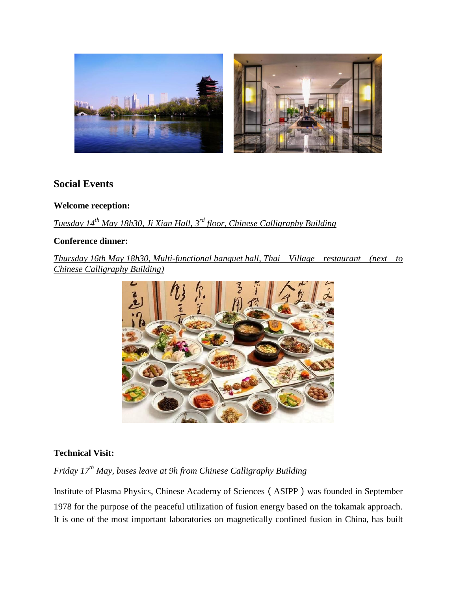

# **Social Events**

#### **Welcome reception:**

*Tuesday 14th May 18h30, Ji Xian Hall, 3rd floor, Chinese Calligraphy Building*

#### **Conference dinner:**

*Thursday 16th May 18h30, Multi-functional banquet hall, Thai Village restaurant (next to Chinese Calligraphy Building)*



#### **Technical Visit:**

# *Friday 17th May, buses leave at 9h from Chinese Calligraphy Building*

Institute of Plasma Physics, Chinese Academy of Sciences(ASIPP)was founded in September 1978 for the purpose of the peaceful utilization of fusion energy based on the tokamak approach. It is one of the most important laboratories on magnetically confined fusion in China, has built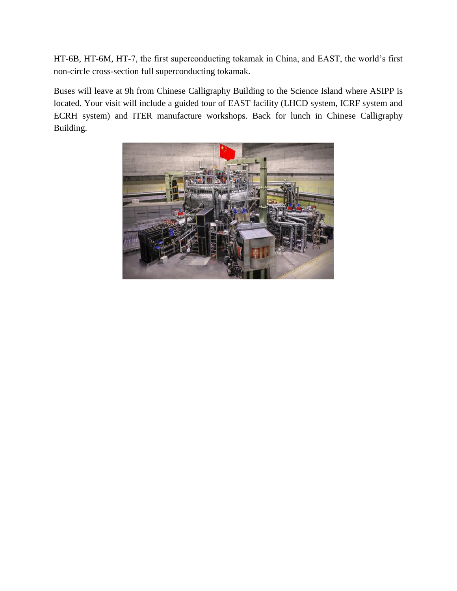HT-6B, HT-6M, HT-7, the first superconducting tokamak in China, and EAST, the world's first non-circle cross-section full superconducting tokamak.

Buses will leave at 9h from Chinese Calligraphy Building to the Science Island where ASIPP is located. Your visit will include a guided tour of EAST facility (LHCD system, ICRF system and ECRH system) and ITER manufacture workshops. Back for lunch in Chinese Calligraphy Building.

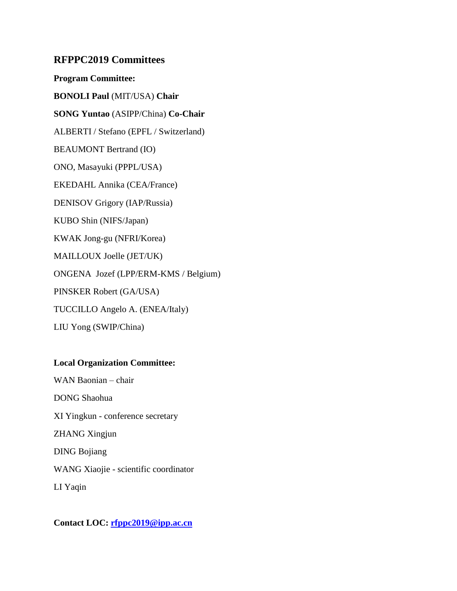#### **RFPPC2019 Committees**

**Program Committee: BONOLI Paul** (MIT/USA) **Chair SONG Yuntao** (ASIPP/China) **Co-Chair** ALBERTI / Stefano (EPFL / Switzerland) BEAUMONT Bertrand (IO) ONO, Masayuki (PPPL/USA) EKEDAHL Annika (CEA/France) DENISOV Grigory (IAP/Russia) KUBO Shin (NIFS/Japan) KWAK Jong-gu (NFRI/Korea) MAILLOUX Joelle (JET/UK) ONGENA Jozef (LPP/ERM-KMS / Belgium) PINSKER Robert (GA/USA) TUCCILLO Angelo A. (ENEA/Italy) LIU Yong (SWIP/China)

#### **Local Organization Committee:**

WAN Baonian – chair DONG Shaohua XI Yingkun - conference secretary ZHANG Xingjun DING Bojiang WANG Xiaojie - scientific coordinator LI Yaqin

**Contact LOC: [rfppc2019@ipp.ac.cn](mailto:rfppc2019@ipp.ac.cn)**